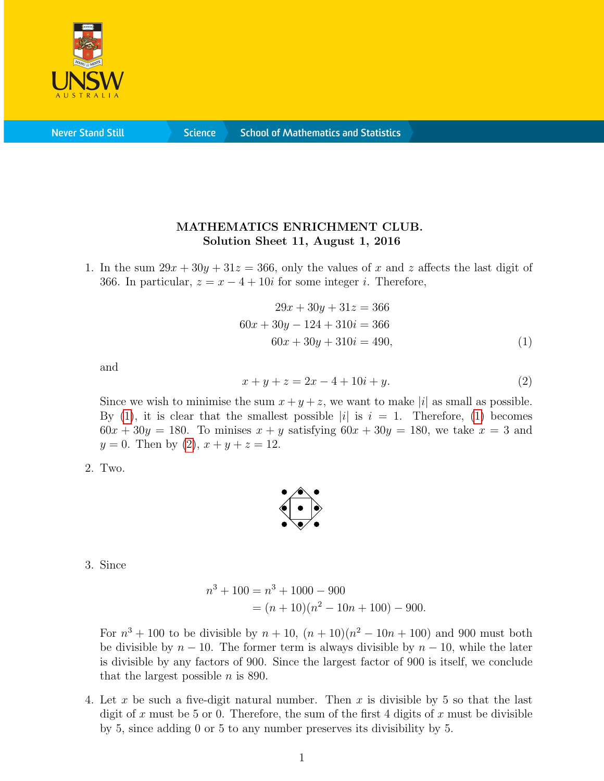

**Never Stand Still** 

**Science** 

## MATHEMATICS ENRICHMENT CLUB. Solution Sheet 11, August 1, 2016

1. In the sum  $29x + 30y + 31z = 366$ , only the values of x and z affects the last digit of 366. In particular,  $z = x - 4 + 10i$  for some integer *i*. Therefore,

<span id="page-0-0"></span>
$$
29x + 30y + 31z = 366
$$
  

$$
60x + 30y - 124 + 310i = 366
$$
  

$$
60x + 30y + 310i = 490,
$$
 (1)

and

<span id="page-0-1"></span>
$$
x + y + z = 2x - 4 + 10i + y.
$$
 (2)

Since we wish to minimise the sum  $x + y + z$ , we want to make |i| as small as possible. By [\(1\)](#page-0-0), it is clear that the smallest possible |i| is  $i = 1$ . Therefore, (1) becomes  $60x + 30y = 180$ . To minises  $x + y$  satisfying  $60x + 30y = 180$ , we take  $x = 3$  and  $y = 0$ . Then by [\(2\)](#page-0-1),  $x + y + z = 12$ .

2. Two.



3. Since

$$
n3 + 100 = n3 + 1000 - 900
$$
  
= (n + 10)(n<sup>2</sup> - 10n + 100) - 900.

For  $n^3 + 100$  to be divisible by  $n + 10$ ,  $(n + 10)(n^2 - 10n + 100)$  and 900 must both be divisible by  $n - 10$ . The former term is always divisible by  $n - 10$ , while the later is divisible by any factors of 900. Since the largest factor of 900 is itself, we conclude that the largest possible  $n$  is 890.

4. Let x be such a five-digit natural number. Then x is divisible by 5 so that the last digit of x must be 5 or 0. Therefore, the sum of the first 4 digits of x must be divisible by 5, since adding 0 or 5 to any number preserves its divisibility by 5.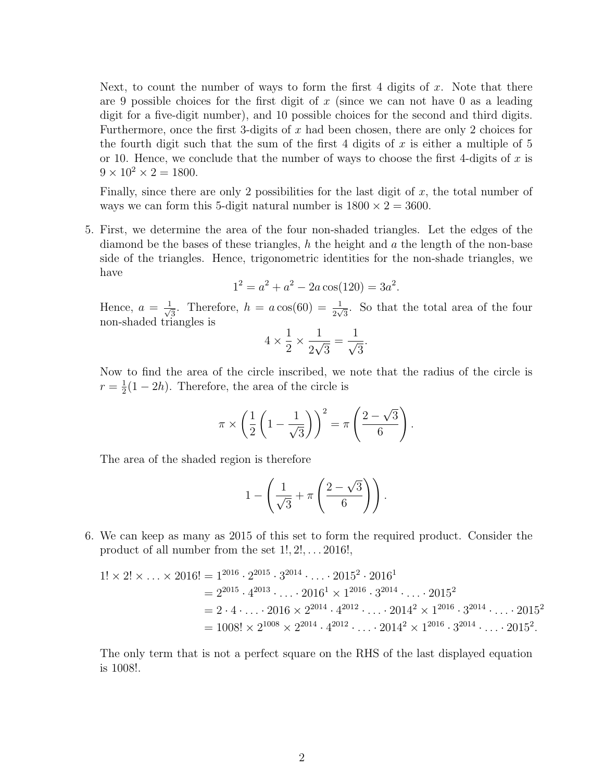Next, to count the number of ways to form the first 4 digits of  $x$ . Note that there are 9 possible choices for the first digit of x (since we can not have 0 as a leading digit for a five-digit number), and 10 possible choices for the second and third digits. Furthermore, once the first 3-digits of  $x$  had been chosen, there are only 2 choices for the fourth digit such that the sum of the first 4 digits of x is either a multiple of  $5$ or 10. Hence, we conclude that the number of ways to choose the first 4-digits of  $x$  is  $9 \times 10^2 \times 2 = 1800.$ 

Finally, since there are only 2 possibilities for the last digit of  $x$ , the total number of ways we can form this 5-digit natural number is  $1800 \times 2 = 3600$ .

5. First, we determine the area of the four non-shaded triangles. Let the edges of the diamond be the bases of these triangles, h the height and  $a$  the length of the non-base side of the triangles. Hence, trigonometric identities for the non-shade triangles, we have

$$
1^2 = a^2 + a^2 - 2a\cos(120) = 3a^2.
$$

Hence,  $a = \frac{1}{\sqrt{2}}$  $\frac{1}{3}$ . Therefore,  $h = a \cos(60) = \frac{1}{2\sqrt{3}}$ . So that the total area of the four non-shaded triangles is

$$
4 \times \frac{1}{2} \times \frac{1}{2\sqrt{3}} = \frac{1}{\sqrt{3}}.
$$

Now to find the area of the circle inscribed, we note that the radius of the circle is  $r=\frac{1}{2}$  $\frac{1}{2}(1-2h)$ . Therefore, the area of the circle is

$$
\pi \times \left(\frac{1}{2}\left(1 - \frac{1}{\sqrt{3}}\right)\right)^2 = \pi \left(\frac{2 - \sqrt{3}}{6}\right).
$$

The area of the shaded region is therefore

$$
1 - \left(\frac{1}{\sqrt{3}} + \pi \left(\frac{2-\sqrt{3}}{6}\right)\right).
$$

6. We can keep as many as 2015 of this set to form the required product. Consider the product of all number from the set  $1!, 2!, \ldots, 2016!,$ 

$$
1! \times 2! \times \ldots \times 2016! = 1^{2016} \cdot 2^{2015} \cdot 3^{2014} \cdot \ldots \cdot 2015^2 \cdot 2016^1
$$
  
=  $2^{2015} \cdot 4^{2013} \cdot \ldots \cdot 2016^1 \times 1^{2016} \cdot 3^{2014} \cdot \ldots \cdot 2015^2$   
=  $2 \cdot 4 \cdot \ldots \cdot 2016 \times 2^{2014} \cdot 4^{2012} \cdot \ldots \cdot 2014^2 \times 1^{2016} \cdot 3^{2014} \cdot \ldots \cdot 2015^2$   
=  $1008! \times 2^{1008} \times 2^{2014} \cdot 4^{2012} \cdot \ldots \cdot 2014^2 \times 1^{2016} \cdot 3^{2014} \cdot \ldots \cdot 2015^2$ .

The only term that is not a perfect square on the RHS of the last displayed equation is 1008!.